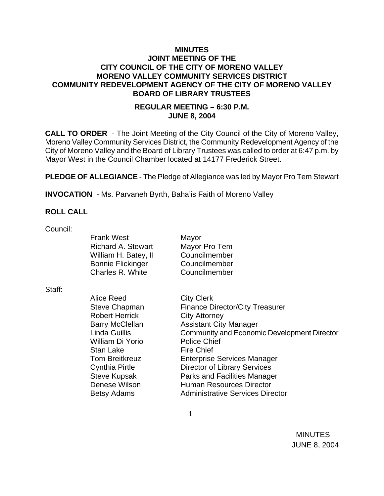# **MINUTES JOINT MEETING OF THE CITY COUNCIL OF THE CITY OF MORENO VALLEY MORENO VALLEY COMMUNITY SERVICES DISTRICT COMMUNITY REDEVELOPMENT AGENCY OF THE CITY OF MORENO VALLEY BOARD OF LIBRARY TRUSTEES**

# **REGULAR MEETING – 6:30 P.M. JUNE 8, 2004**

**CALL TO ORDER** - The Joint Meeting of the City Council of the City of Moreno Valley, Moreno Valley Community Services District, the Community Redevelopment Agency of the City of Moreno Valley and the Board of Library Trustees was called to order at 6:47 p.m. by Mayor West in the Council Chamber located at 14177 Frederick Street.

**PLEDGE OF ALLEGIANCE** - The Pledge of Allegiance was led by Mayor Pro Tem Stewart

**INVOCATION** - Ms. Parvaneh Byrth, Baha'is Faith of Moreno Valley

#### **ROLL CALL**

Council:

Frank West Mayor Richard A. Stewart Mayor Pro Tem William H. Batey, II Councilmember Bonnie Flickinger Councilmember Charles R. White Councilmember

Staff:

Alice Reed City Clerk Robert Herrick City Attorney William Di Yorio Police Chief Stan Lake Fire Chief

Steve Chapman Finance Director/City Treasurer Barry McClellan **Assistant City Manager** Linda Guillis Community and Economic Development Director Tom Breitkreuz Enterprise Services Manager Cynthia Pirtle Director of Library Services Steve Kupsak Parks and Facilities Manager Denese Wilson **Human Resources Director** Betsy Adams **Administrative Services Director**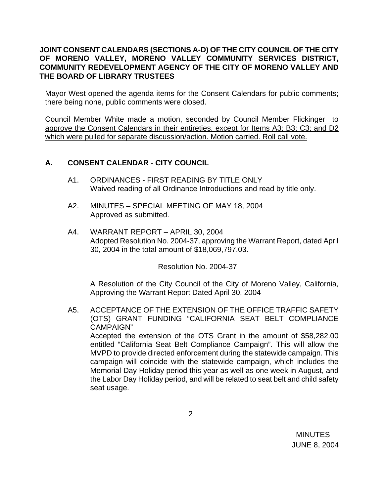# **JOINT CONSENT CALENDARS (SECTIONS A-D) OF THE CITY COUNCIL OF THE CITY OF MORENO VALLEY, MORENO VALLEY COMMUNITY SERVICES DISTRICT, COMMUNITY REDEVELOPMENT AGENCY OF THE CITY OF MORENO VALLEY AND THE BOARD OF LIBRARY TRUSTEES**

Mayor West opened the agenda items for the Consent Calendars for public comments; there being none, public comments were closed.

Council Member White made a motion, seconded by Council Member Flickinger to approve the Consent Calendars in their entireties, except for Items A3; B3; C3; and D2 which were pulled for separate discussion/action. Motion carried. Roll call vote.

# **A. CONSENT CALENDAR** - **CITY COUNCIL**

- A1. ORDINANCES FIRST READING BY TITLE ONLY Waived reading of all Ordinance Introductions and read by title only.
- A2. MINUTES SPECIAL MEETING OF MAY 18, 2004 Approved as submitted.
- A4. WARRANT REPORT APRIL 30, 2004 Adopted Resolution No. 2004-37, approving the Warrant Report, dated April 30, 2004 in the total amount of \$18,069,797.03.

Resolution No. 2004-37

 A Resolution of the City Council of the City of Moreno Valley, California, Approving the Warrant Report Dated April 30, 2004

 A5. ACCEPTANCE OF THE EXTENSION OF THE OFFICE TRAFFIC SAFETY (OTS) GRANT FUNDING "CALIFORNIA SEAT BELT COMPLIANCE CAMPAIGN" Accepted the extension of the OTS Grant in the amount of \$58,282.00

entitled "California Seat Belt Compliance Campaign". This will allow the MVPD to provide directed enforcement during the statewide campaign. This campaign will coincide with the statewide campaign, which includes the Memorial Day Holiday period this year as well as one week in August, and the Labor Day Holiday period, and will be related to seat belt and child safety seat usage.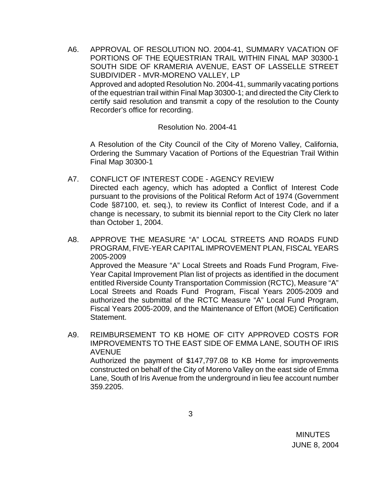A6. APPROVAL OF RESOLUTION NO. 2004-41, SUMMARY VACATION OF PORTIONS OF THE EQUESTRIAN TRAIL WITHIN FINAL MAP 30300-1 SOUTH SIDE OF KRAMERIA AVENUE, EAST OF LASSELLE STREET SUBDIVIDER - MVR-MORENO VALLEY, LP Approved and adopted Resolution No. 2004-41, summarily vacating portions of the equestrian trail within Final Map 30300-1; and directed the City Clerk to certify said resolution and transmit a copy of the resolution to the County Recorder's office for recording.

Resolution No. 2004-41

 A Resolution of the City Council of the City of Moreno Valley, California, Ordering the Summary Vacation of Portions of the Equestrian Trail Within Final Map 30300-1

- A7. CONFLICT OF INTEREST CODE AGENCY REVIEW Directed each agency, which has adopted a Conflict of Interest Code pursuant to the provisions of the Political Reform Act of 1974 (Government Code §87100, et. seq.), to review its Conflict of Interest Code, and if a change is necessary, to submit its biennial report to the City Clerk no later than October 1, 2004.
- A8. APPROVE THE MEASURE "A" LOCAL STREETS AND ROADS FUND PROGRAM, FIVE-YEAR CAPITAL IMPROVEMENT PLAN, FISCAL YEARS 2005-2009

Approved the Measure "A" Local Streets and Roads Fund Program, Five-Year Capital Improvement Plan list of projects as identified in the document entitled Riverside County Transportation Commission (RCTC), Measure "A" Local Streets and Roads Fund Program, Fiscal Years 2005-2009 and authorized the submittal of the RCTC Measure "A" Local Fund Program, Fiscal Years 2005-2009, and the Maintenance of Effort (MOE) Certification Statement.

A9. REIMBURSEMENT TO KB HOME OF CITY APPROVED COSTS FOR IMPROVEMENTS TO THE EAST SIDE OF EMMA LANE, SOUTH OF IRIS AVENUE Authorized the payment of \$147,797.08 to KB Home for improvements constructed on behalf of the City of Moreno Valley on the east side of Emma Lane, South of Iris Avenue from the underground in lieu fee account number 359.2205.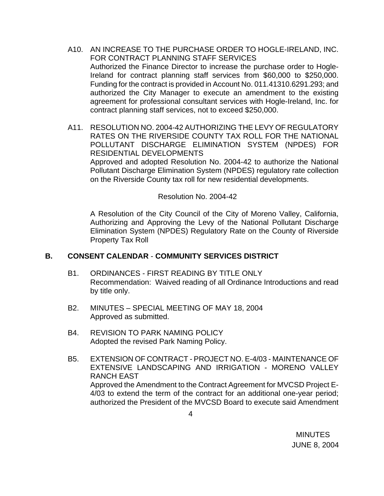- A10. AN INCREASE TO THE PURCHASE ORDER TO HOGLE-IRELAND, INC. FOR CONTRACT PLANNING STAFF SERVICES Authorized the Finance Director to increase the purchase order to Hogle-Ireland for contract planning staff services from \$60,000 to \$250,000. Funding for the contract is provided in Account No. 011.41310.6291.293; and authorized the City Manager to execute an amendment to the existing agreement for professional consultant services with Hogle-Ireland, Inc. for contract planning staff services, not to exceed \$250,000.
- A11. RESOLUTION NO. 2004-42 AUTHORIZING THE LEVY OF REGULATORY RATES ON THE RIVERSIDE COUNTY TAX ROLL FOR THE NATIONAL POLLUTANT DISCHARGE ELIMINATION SYSTEM (NPDES) FOR RESIDENTIAL DEVELOPMENTS Approved and adopted Resolution No. 2004-42 to authorize the National Pollutant Discharge Elimination System (NPDES) regulatory rate collection on the Riverside County tax roll for new residential developments.

Resolution No. 2004-42

 A Resolution of the City Council of the City of Moreno Valley, California, Authorizing and Approving the Levy of the National Pollutant Discharge Elimination System (NPDES) Regulatory Rate on the County of Riverside Property Tax Roll

# **B. CONSENT CALENDAR** - **COMMUNITY SERVICES DISTRICT**

- B1. ORDINANCES FIRST READING BY TITLE ONLY Recommendation: Waived reading of all Ordinance Introductions and read by title only.
- B2. MINUTES SPECIAL MEETING OF MAY 18, 2004 Approved as submitted.
- B4. REVISION TO PARK NAMING POLICY Adopted the revised Park Naming Policy.
- B5. EXTENSION OF CONTRACT PROJECT NO. E-4/03 MAINTENANCE OF EXTENSIVE LANDSCAPING AND IRRIGATION - MORENO VALLEY RANCH EAST Approved the Amendment to the Contract Agreement for MVCSD Project E-4/03 to extend the term of the contract for an additional one-year period; authorized the President of the MVCSD Board to execute said Amendment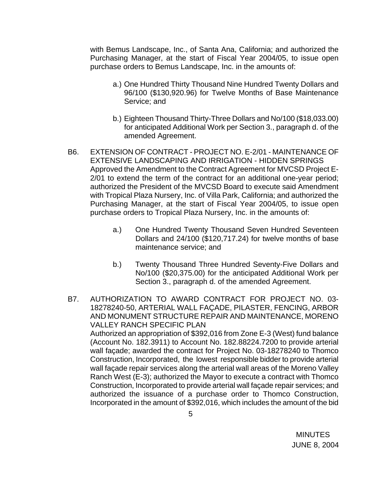with Bemus Landscape, Inc., of Santa Ana, California; and authorized the Purchasing Manager, at the start of Fiscal Year 2004/05, to issue open purchase orders to Bemus Landscape, Inc. in the amounts of:

- a.) One Hundred Thirty Thousand Nine Hundred Twenty Dollars and 96/100 (\$130,920.96) for Twelve Months of Base Maintenance Service; and
- b.) Eighteen Thousand Thirty-Three Dollars and No/100 (\$18,033.00) for anticipated Additional Work per Section 3., paragraph d. of the amended Agreement.
- B6. EXTENSION OF CONTRACT PROJECT NO. E-2/01 MAINTENANCE OF EXTENSIVE LANDSCAPING AND IRRIGATION - HIDDEN SPRINGS Approved the Amendment to the Contract Agreement for MVCSD Project E-2/01 to extend the term of the contract for an additional one-year period; authorized the President of the MVCSD Board to execute said Amendment with Tropical Plaza Nursery, Inc. of Villa Park, California; and authorized the Purchasing Manager, at the start of Fiscal Year 2004/05, to issue open purchase orders to Tropical Plaza Nursery, Inc. in the amounts of:
	- a.) One Hundred Twenty Thousand Seven Hundred Seventeen Dollars and 24/100 (\$120,717.24) for twelve months of base maintenance service; and
	- b.) Twenty Thousand Three Hundred Seventy-Five Dollars and No/100 (\$20,375.00) for the anticipated Additional Work per Section 3., paragraph d. of the amended Agreement.
- B7. AUTHORIZATION TO AWARD CONTRACT FOR PROJECT NO. 03- 18278240-50, ARTERIAL WALL FAÇADE, PILASTER, FENCING, ARBOR AND MONUMENT STRUCTURE REPAIR AND MAINTENANCE, MORENO VALLEY RANCH SPECIFIC PLAN Authorized an appropriation of \$392,016 from Zone E-3 (West) fund balance (Account No. 182.3911) to Account No. 182.88224.7200 to provide arterial wall façade; awarded the contract for Project No. 03-18278240 to Thomco Construction, Incorporated, the lowest responsible bidder to provide arterial wall façade repair services along the arterial wall areas of the Moreno Valley Ranch West (E-3); authorized the Mayor to execute a contract with Thomco Construction, Incorporated to provide arterial wall façade repair services; and authorized the issuance of a purchase order to Thomco Construction, Incorporated in the amount of \$392,016, which includes the amount of the bid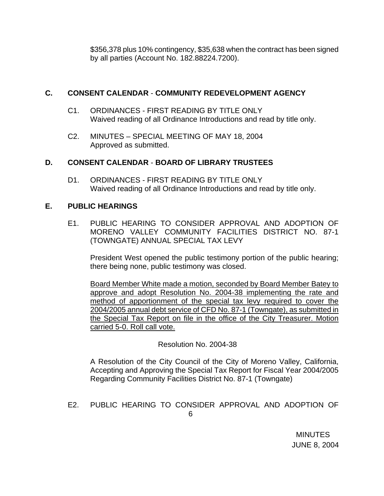\$356,378 plus 10% contingency, \$35,638 when the contract has been signed by all parties (Account No. 182.88224.7200).

# **C. CONSENT CALENDAR** - **COMMUNITY REDEVELOPMENT AGENCY**

- C1. ORDINANCES FIRST READING BY TITLE ONLY Waived reading of all Ordinance Introductions and read by title only.
- C2. MINUTES SPECIAL MEETING OF MAY 18, 2004 Approved as submitted.

# **D. CONSENT CALENDAR** - **BOARD OF LIBRARY TRUSTEES**

D1. ORDINANCES - FIRST READING BY TITLE ONLY Waived reading of all Ordinance Introductions and read by title only.

# **E. PUBLIC HEARINGS**

E1. PUBLIC HEARING TO CONSIDER APPROVAL AND ADOPTION OF MORENO VALLEY COMMUNITY FACILITIES DISTRICT NO. 87-1 (TOWNGATE) ANNUAL SPECIAL TAX LEVY

 President West opened the public testimony portion of the public hearing; there being none, public testimony was closed.

 Board Member White made a motion, seconded by Board Member Batey to approve and adopt Resolution No. 2004-38 implementing the rate and method of apportionment of the special tax levy required to cover the 2004/2005 annual debt service of CFD No. 87-1 (Towngate), as submitted in the Special Tax Report on file in the office of the City Treasurer. Motion carried 5-0. Roll call vote.

# Resolution No. 2004-38

 A Resolution of the City Council of the City of Moreno Valley, California, Accepting and Approving the Special Tax Report for Fiscal Year 2004/2005 Regarding Community Facilities District No. 87-1 (Towngate)

# E2. PUBLIC HEARING TO CONSIDER APPROVAL AND ADOPTION OF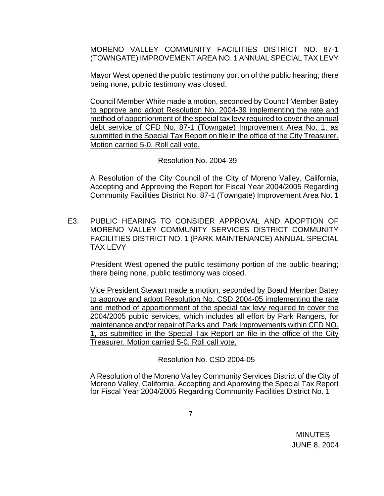MORENO VALLEY COMMUNITY FACILITIES DISTRICT NO. 87-1 (TOWNGATE) IMPROVEMENT AREA NO. 1 ANNUAL SPECIAL TAX LEVY

 Mayor West opened the public testimony portion of the public hearing; there being none, public testimony was closed.

 Council Member White made a motion, seconded by Council Member Batey to approve and adopt Resolution No. 2004-39 implementing the rate and method of apportionment of the special tax levy required to cover the annual debt service of CFD No. 87-1 (Towngate) Improvement Area No. 1, as submitted in the Special Tax Report on file in the office of the City Treasurer. Motion carried 5-0. Roll call vote.

Resolution No. 2004-39

 A Resolution of the City Council of the City of Moreno Valley, California, Accepting and Approving the Report for Fiscal Year 2004/2005 Regarding Community Facilities District No. 87-1 (Towngate) Improvement Area No. 1

E3. PUBLIC HEARING TO CONSIDER APPROVAL AND ADOPTION OF MORENO VALLEY COMMUNITY SERVICES DISTRICT COMMUNITY FACILITIES DISTRICT NO. 1 (PARK MAINTENANCE) ANNUAL SPECIAL TAX LEVY

 President West opened the public testimony portion of the public hearing; there being none, public testimony was closed.

 Vice President Stewart made a motion, seconded by Board Member Batey to approve and adopt Resolution No. CSD 2004-05 implementing the rate and method of apportionment of the special tax levy required to cover the 2004/2005 public services, which includes all effort by Park Rangers, for maintenance and/or repair of Parks and Park Improvements within CFD NO. 1, as submitted in the Special Tax Report on file in the office of the City Treasurer. Motion carried 5-0. Roll call vote.

Resolution No. CSD 2004-05

 A Resolution of the Moreno Valley Community Services District of the City of Moreno Valley, California, Accepting and Approving the Special Tax Report for Fiscal Year 2004/2005 Regarding Community Facilities District No. 1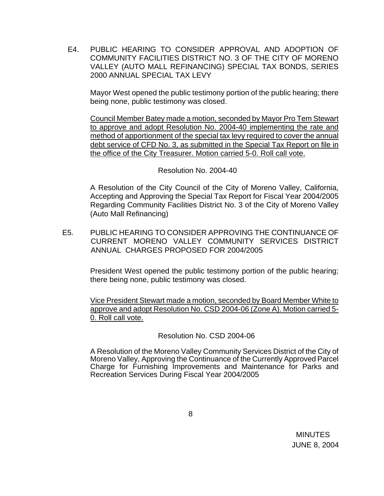E4. PUBLIC HEARING TO CONSIDER APPROVAL AND ADOPTION OF COMMUNITY FACILITIES DISTRICT NO. 3 OF THE CITY OF MORENO VALLEY (AUTO MALL REFINANCING) SPECIAL TAX BONDS, SERIES 2000 ANNUAL SPECIAL TAX LEVY

Mayor West opened the public testimony portion of the public hearing; there being none, public testimony was closed.

Council Member Batey made a motion, seconded by Mayor Pro Tem Stewart to approve and adopt Resolution No. 2004-40 implementing the rate and method of apportionment of the special tax levy required to cover the annual debt service of CFD No. 3, as submitted in the Special Tax Report on file in the office of the City Treasurer. Motion carried 5-0. Roll call vote.

### Resolution No. 2004-40

 A Resolution of the City Council of the City of Moreno Valley, California, Accepting and Approving the Special Tax Report for Fiscal Year 2004/2005 Regarding Community Facilities District No. 3 of the City of Moreno Valley (Auto Mall Refinancing)

E5. PUBLIC HEARING TO CONSIDER APPROVING THE CONTINUANCE OF CURRENT MORENO VALLEY COMMUNITY SERVICES DISTRICT ANNUAL CHARGES PROPOSED FOR 2004/2005

 President West opened the public testimony portion of the public hearing; there being none, public testimony was closed.

 Vice President Stewart made a motion, seconded by Board Member White to approve and adopt Resolution No. CSD 2004-06 (Zone A). Motion carried 5- 0. Roll call vote.

# Resolution No. CSD 2004-06

A Resolution of the Moreno Valley Community Services District of the City of Moreno Valley, Approving the Continuance of the Currently Approved Parcel Charge for Furnishing Improvements and Maintenance for Parks and Recreation Services During Fiscal Year 2004/2005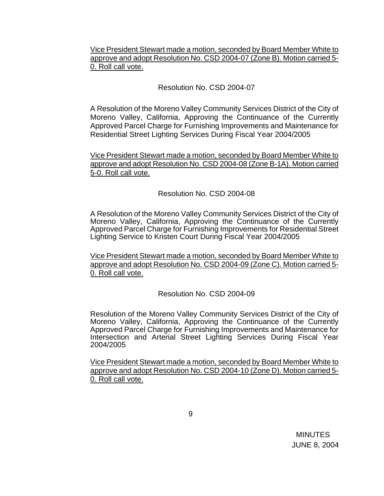Vice President Stewart made a motion, seconded by Board Member White to approve and adopt Resolution No. CSD 2004-07 (Zone B). Motion carried 5- 0. Roll call vote.

# Resolution No. CSD 2004-07

A Resolution of the Moreno Valley Community Services District of the City of Moreno Valley, California, Approving the Continuance of the Currently Approved Parcel Charge for Furnishing Improvements and Maintenance for Residential Street Lighting Services During Fiscal Year 2004/2005

Vice President Stewart made a motion, seconded by Board Member White to approve and adopt Resolution No. CSD 2004-08 (Zone B-1A). Motion carried 5-0. Roll call vote.

### Resolution No. CSD 2004-08

A Resolution of the Moreno Valley Community Services District of the City of Moreno Valley, California, Approving the Continuance of the Currently Approved Parcel Charge for Furnishing Improvements for Residential Street Lighting Service to Kristen Court During Fiscal Year 2004/2005

Vice President Stewart made a motion, seconded by Board Member White to approve and adopt Resolution No. CSD 2004-09 (Zone C). Motion carried 5- 0. Roll call vote.

# Resolution No. CSD 2004-09

Resolution of the Moreno Valley Community Services District of the City of Moreno Valley, California, Approving the Continuance of the Currently Approved Parcel Charge for Furnishing Improvements and Maintenance for Intersection and Arterial Street Lighting Services During Fiscal Year 2004/2005

Vice President Stewart made a motion, seconded by Board Member White to approve and adopt Resolution No. CSD 2004-10 (Zone D). Motion carried 5- 0. Roll call vote.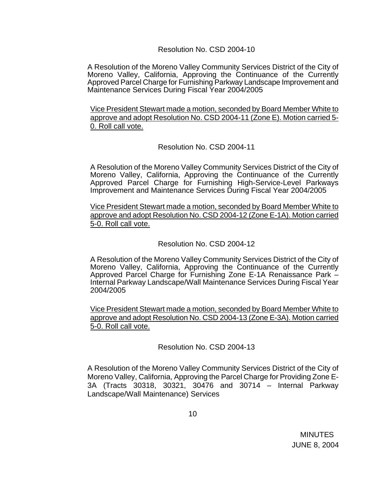#### Resolution No. CSD 2004-10

A Resolution of the Moreno Valley Community Services District of the City of Moreno Valley, California, Approving the Continuance of the Currently Approved Parcel Charge for Furnishing Parkway Landscape Improvement and Maintenance Services During Fiscal Year 2004/2005

Vice President Stewart made a motion, seconded by Board Member White to approve and adopt Resolution No. CSD 2004-11 (Zone E). Motion carried 5- 0. Roll call vote.

# Resolution No. CSD 2004-11

A Resolution of the Moreno Valley Community Services District of the City of Moreno Valley, California, Approving the Continuance of the Currently Approved Parcel Charge for Furnishing High-Service-Level Parkways Improvement and Maintenance Services During Fiscal Year 2004/2005

Vice President Stewart made a motion, seconded by Board Member White to approve and adopt Resolution No. CSD 2004-12 (Zone E-1A). Motion carried 5-0. Roll call vote.

### Resolution No. CSD 2004-12

A Resolution of the Moreno Valley Community Services District of the City of Moreno Valley, California, Approving the Continuance of the Currently Approved Parcel Charge for Furnishing Zone E-1A Renaissance Park – Internal Parkway Landscape/Wall Maintenance Services During Fiscal Year 2004/2005

Vice President Stewart made a motion, seconded by Board Member White to approve and adopt Resolution No. CSD 2004-13 (Zone E-3A). Motion carried 5-0. Roll call vote.

#### Resolution No. CSD 2004-13

A Resolution of the Moreno Valley Community Services District of the City of Moreno Valley, California, Approving the Parcel Charge for Providing Zone E-3A (Tracts 30318, 30321, 30476 and 30714 – Internal Parkway Landscape/Wall Maintenance) Services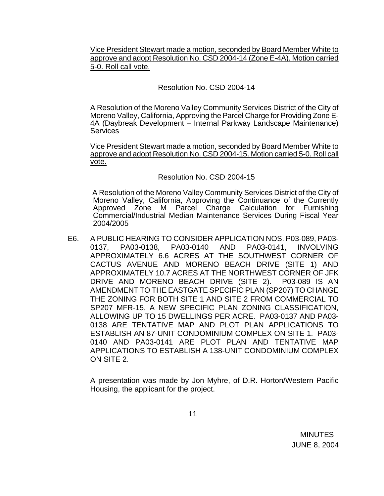Vice President Stewart made a motion, seconded by Board Member White to approve and adopt Resolution No. CSD 2004-14 (Zone E-4A). Motion carried 5-0. Roll call vote.

# Resolution No. CSD 2004-14

A Resolution of the Moreno Valley Community Services District of the City of Moreno Valley, California, Approving the Parcel Charge for Providing Zone E-4A (Daybreak Development – Internal Parkway Landscape Maintenance) **Services** 

Vice President Stewart made a motion, seconded by Board Member White to approve and adopt Resolution No. CSD 2004-15. Motion carried 5-0. Roll call vote.

### Resolution No. CSD 2004-15

 A Resolution of the Moreno Valley Community Services District of the City of Moreno Valley, California, Approving the Continuance of the Currently Approved Zone M Parcel Charge Calculation for Furnishing Commercial/Industrial Median Maintenance Services During Fiscal Year 2004/2005

E6. A PUBLIC HEARING TO CONSIDER APPLICATION NOS. P03-089, PA03- 0137, PA03-0138, PA03-0140 AND PA03-0141, INVOLVING APPROXIMATELY 6.6 ACRES AT THE SOUTHWEST CORNER OF CACTUS AVENUE AND MORENO BEACH DRIVE (SITE 1) AND APPROXIMATELY 10.7 ACRES AT THE NORTHWEST CORNER OF JFK DRIVE AND MORENO BEACH DRIVE (SITE 2). P03-089 IS AN AMENDMENT TO THE EASTGATE SPECIFIC PLAN (SP207) TO CHANGE THE ZONING FOR BOTH SITE 1 AND SITE 2 FROM COMMERCIAL TO SP207 MFR-15, A NEW SPECIFIC PLAN ZONING CLASSIFICATION, ALLOWING UP TO 15 DWELLINGS PER ACRE. PA03-0137 AND PA03- 0138 ARE TENTATIVE MAP AND PLOT PLAN APPLICATIONS TO ESTABLISH AN 87-UNIT CONDOMINIUM COMPLEX ON SITE 1. PA03- 0140 AND PA03-0141 ARE PLOT PLAN AND TENTATIVE MAP APPLICATIONS TO ESTABLISH A 138-UNIT CONDOMINIUM COMPLEX ON SITE 2.

 A presentation was made by Jon Myhre, of D.R. Horton/Western Pacific Housing, the applicant for the project.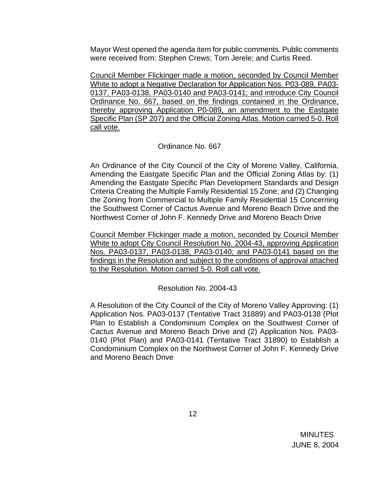Mayor West opened the agenda item for public comments. Public comments were received from: Stephen Crews; Tom Jerele; and Curtis Reed.

 Council Member Flickinger made a motion, seconded by Council Member White to adopt a Negative Declaration for Application Nos. P03-089, PA03- 0137, PA03-0138, PA03-0140 and PA03-0141; and introduce City Council Ordinance No. 667, based on the findings contained in the Ordinance, thereby approving Application P0-089, an amendment to the Eastgate Specific Plan (SP 207) and the Official Zoning Atlas. Motion carried 5-0. Roll call vote.

# Ordinance No. 667

 An Ordinance of the City Council of the City of Moreno Valley, California, Amending the Eastgate Specific Plan and the Official Zoning Atlas by: (1) Amending the Eastgate Specific Plan Development Standards and Design Criteria Creating the Multiple Family Residential 15 Zone; and (2) Changing the Zoning from Commercial to Multiple Family Residential 15 Concerning the Southwest Corner of Cactus Avenue and Moreno Beach Drive and the Northwest Corner of John F. Kennedy Drive and Moreno Beach Drive

 Council Member Flickinger made a motion, seconded by Council Member White to adopt City Council Resolution No. 2004-43, approving Application Nos. PA03-0137, PA03-0138, PA03-0140; and PA03-0141 based on the findings in the Resolution and subject to the conditions of approval attached to the Resolution. Motion carried 5-0. Roll call vote.

Resolution No. 2004-43

 A Resolution of the City Council of the City of Moreno Valley Approving: (1) Application Nos. PA03-0137 (Tentative Tract 31889) and PA03-0138 (Plot Plan to Establish a Condominium Complex on the Southwest Corner of Cactus Avenue and Moreno Beach Drive and (2) Application Nos. PA03- 0140 (Plot Plan) and PA03-0141 (Tentative Tract 31890) to Establish a Condominium Complex on the Northwest Corner of John F. Kennedy Drive and Moreno Beach Drive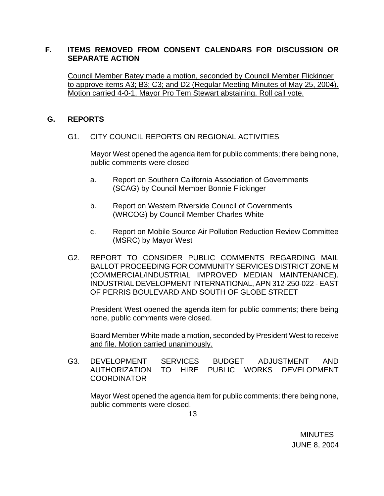# **F. ITEMS REMOVED FROM CONSENT CALENDARS FOR DISCUSSION OR SEPARATE ACTION**

Council Member Batey made a motion, seconded by Council Member Flickinger to approve items A3; B3; C3; and D2 (Regular Meeting Minutes of May 25, 2004). Motion carried 4-0-1, Mayor Pro Tem Stewart abstaining. Roll call vote.

# **G. REPORTS**

G1. CITY COUNCIL REPORTS ON REGIONAL ACTIVITIES

Mayor West opened the agenda item for public comments; there being none, public comments were closed

- a. Report on Southern California Association of Governments (SCAG) by Council Member Bonnie Flickinger
- b. Report on Western Riverside Council of Governments (WRCOG) by Council Member Charles White
- c. Report on Mobile Source Air Pollution Reduction Review Committee (MSRC) by Mayor West
- G2. REPORT TO CONSIDER PUBLIC COMMENTS REGARDING MAIL BALLOT PROCEEDING FOR COMMUNITY SERVICES DISTRICT ZONE M (COMMERCIAL/INDUSTRIAL IMPROVED MEDIAN MAINTENANCE). INDUSTRIAL DEVELOPMENT INTERNATIONAL, APN 312-250-022 - EAST OF PERRIS BOULEVARD AND SOUTH OF GLOBE STREET

President West opened the agenda item for public comments; there being none, public comments were closed.

 Board Member White made a motion, seconded by President West to receive and file. Motion carried unanimously.

G3. DEVELOPMENT SERVICES BUDGET ADJUSTMENT AND AUTHORIZATION TO HIRE PUBLIC WORKS DEVELOPMENT COORDINATOR

Mayor West opened the agenda item for public comments; there being none, public comments were closed.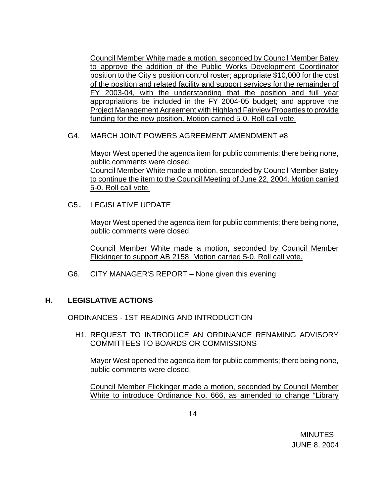Council Member White made a motion, seconded by Council Member Batey to approve the addition of the Public Works Development Coordinator position to the City's position control roster; appropriate \$10,000 for the cost of the position and related facility and support services for the remainder of FY 2003-04, with the understanding that the position and full year appropriations be included in the FY 2004-05 budget; and approve the Project Management Agreement with Highland Fairview Properties to provide funding for the new position. Motion carried 5-0. Roll call vote.

### G4. MARCH JOINT POWERS AGREEMENT AMENDMENT #8

Mayor West opened the agenda item for public comments; there being none, public comments were closed. Council Member White made a motion, seconded by Council Member Batey to continue the item to the Council Meeting of June 22, 2004. Motion carried 5-0. Roll call vote.

G5. LEGISLATIVE UPDATE

Mayor West opened the agenda item for public comments; there being none, public comments were closed.

Council Member White made a motion, seconded by Council Member Flickinger to support AB 2158. Motion carried 5-0. Roll call vote.

G6. CITY MANAGER'S REPORT – None given this evening

# **H. LEGISLATIVE ACTIONS**

ORDINANCES - 1ST READING AND INTRODUCTION

 H1. REQUEST TO INTRODUCE AN ORDINANCE RENAMING ADVISORY COMMITTEES TO BOARDS OR COMMISSIONS

Mayor West opened the agenda item for public comments; there being none, public comments were closed.

 Council Member Flickinger made a motion, seconded by Council Member White to introduce Ordinance No. 666, as amended to change "Library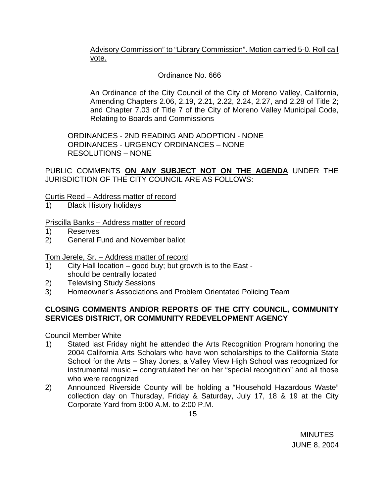Advisory Commission" to "Library Commission". Motion carried 5-0. Roll call vote.

# Ordinance No. 666

 An Ordinance of the City Council of the City of Moreno Valley, California, Amending Chapters 2.06, 2.19, 2.21, 2.22, 2.24, 2.27, and 2.28 of Title 2; and Chapter 7.03 of Title 7 of the City of Moreno Valley Municipal Code, Relating to Boards and Commissions

ORDINANCES - 2ND READING AND ADOPTION - NONE ORDINANCES - URGENCY ORDINANCES – NONE RESOLUTIONS – NONE

PUBLIC COMMENTS **ON ANY SUBJECT NOT ON THE AGENDA** UNDER THE JURISDICTION OF THE CITY COUNCIL ARE AS FOLLOWS:

# Curtis Reed – Address matter of record

1) Black History holidays

# Priscilla Banks – Address matter of record

- 1) Reserves
- 2) General Fund and November ballot

# Tom Jerele, Sr. – Address matter of record

- 1) City Hall location good buy; but growth is to the East should be centrally located
- 2) Televising Study Sessions
- 3) Homeowner's Associations and Problem Orientated Policing Team

# **CLOSING COMMENTS AND/OR REPORTS OF THE CITY COUNCIL, COMMUNITY SERVICES DISTRICT, OR COMMUNITY REDEVELOPMENT AGENCY**

# Council Member White

- 1) Stated last Friday night he attended the Arts Recognition Program honoring the 2004 California Arts Scholars who have won scholarships to the California State School for the Arts – Shay Jones, a Valley View High School was recognized for instrumental music – congratulated her on her "special recognition" and all those who were recognized
- 2) Announced Riverside County will be holding a "Household Hazardous Waste" collection day on Thursday, Friday & Saturday, July 17, 18 & 19 at the City Corporate Yard from 9:00 A.M. to 2:00 P.M.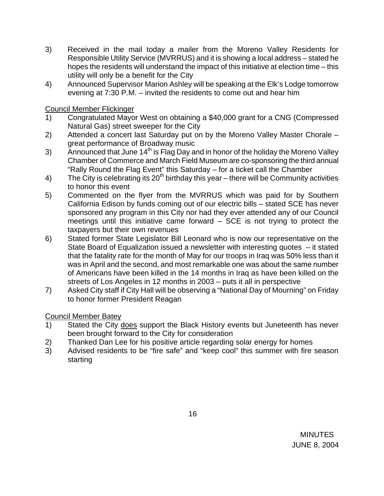- 3) Received in the mail today a mailer from the Moreno Valley Residents for Responsible Utility Service (MVRRUS) and it is showing a local address – stated he hopes the residents will understand the impact of this initiative at election time – this utility will only be a benefit for the City
- 4) Announced Supervisor Marion Ashley will be speaking at the Elk's Lodge tomorrow evening at 7:30 P.M. – invited the residents to come out and hear him

Council Member Flickinger

- 1) Congratulated Mayor West on obtaining a \$40,000 grant for a CNG (Compressed Natural Gas) street sweeper for the City
- 2) Attended a concert last Saturday put on by the Moreno Valley Master Chorale great performance of Broadway music
- 3) Announced that June  $14<sup>th</sup>$  is Flag Day and in honor of the holiday the Moreno Valley Chamber of Commerce and March Field Museum are co-sponsoring the third annual "Rally Round the Flag Event" this Saturday – for a ticket call the Chamber
- 4) The City is celebrating its  $20<sup>th</sup>$  birthday this year there will be Community activities to honor this event
- 5) Commented on the flyer from the MVRRUS which was paid for by Southern California Edison by funds coming out of our electric bills – stated SCE has never sponsored any program in this City nor had they ever attended any of our Council meetings until this initiative came forward – SCE is not trying to protect the taxpayers but their own revenues
- 6) Stated former State Legislator Bill Leonard who is now our representative on the State Board of Equalization issued a newsletter with interesting quotes – it stated that the fatality rate for the month of May for our troops in Iraq was 50% less than it was in April and the second, and most remarkable one was about the same number of Americans have been killed in the 14 months in Iraq as have been killed on the streets of Los Angeles in 12 months in 2003 – puts it all in perspective
- 7) Asked City staff if City Hall will be observing a "National Day of Mourning" on Friday to honor former President Reagan

Council Member Batey

- 1) Stated the City does support the Black History events but Juneteenth has never been brought forward to the City for consideration
- 2) Thanked Dan Lee for his positive article regarding solar energy for homes
- 3) Advised residents to be "fire safe" and "keep cool" this summer with fire season starting